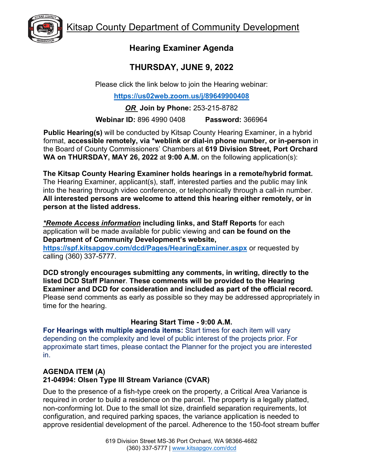

## **Hearing Examiner Agenda**

## **THURSDAY, JUNE 9, 2022**

Please click the link below to join the Hearing webinar:

**<https://us02web.zoom.us/j/89649900408>**

*OR* **Join by Phone:** 253-215-8782

**Webinar ID:** 896 4990 0408 **Password:** 366964

**Public Hearing(s)** will be conducted by Kitsap County Hearing Examiner, in a hybrid format, **accessible remotely, via \*weblink or dial-in phone number, or in-person** in the Board of County Commissioners' Chambers at **619 Division Street, Port Orchard WA on THURSDAY, MAY 26, 2022** at **9:00 A.M.** on the following application(s):

**The Kitsap County Hearing Examiner holds hearings in a remote/hybrid format.**  The Hearing Examiner, applicant(s), staff, interested parties and the public may link into the hearing through video conference, or telephonically through a call-in number. **All interested persons are welcome to attend this hearing either remotely, or in person at the listed address.**

*\*Remote Access information* **including links, and Staff Reports** for each application will be made available for public viewing and **can be found on the Department of Community Development's website,** 

**<https://spf.kitsapgov.com/dcd/Pages/HearingExaminer.aspx>** or requested by calling (360) 337-5777.

**DCD strongly encourages submitting any comments, in writing, directly to the listed DCD Staff Planner**. **These comments will be provided to the Hearing Examiner and DCD for consideration and included as part of the official record.** Please send comments as early as possible so they may be addressed appropriately in time for the hearing.

## **Hearing Start Time - 9:00 A.M.**

**For Hearings with multiple agenda items:** Start times for each item will vary depending on the complexity and level of public interest of the projects prior. For approximate start times, please contact the Planner for the project you are interested in.

## **AGENDA ITEM (A) 21-04994: Olsen Type III Stream Variance (CVAR)**

Due to the presence of a fish-type creek on the property, a Critical Area Variance is required in order to build a residence on the parcel. The property is a legally platted, non-conforming lot. Due to the small lot size, drainfield separation requirements, lot configuration, and required parking spaces, the variance application is needed to approve residential development of the parcel. Adherence to the 150-foot stream buffer